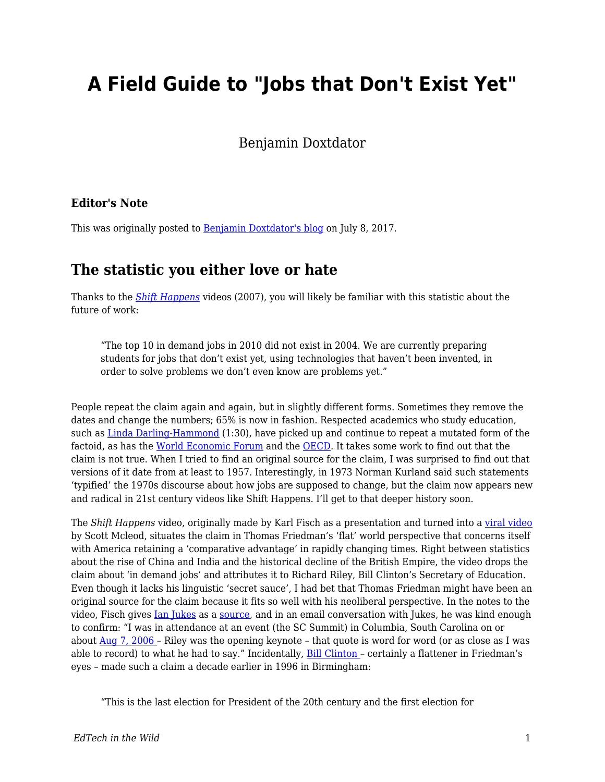# **A Field Guide to "Jobs that Don't Exist Yet"**

Benjamin Doxtdator

#### **Editor's Note**

This was originally posted to **Benjamin Doxtdator's blog** on July 8, 2017.

### **The statistic you either love or hate**

Thanks to the *[Shift Happens](https://www.youtube.com/watch?v=ljbI-363A2Q)* videos (2007), you will likely be familiar with this statistic about the future of work:

"The top 10 in demand jobs in 2010 did not exist in 2004. We are currently preparing students for jobs that don't exist yet, using technologies that haven't been invented, in order to solve problems we don't even know are problems yet."

People repeat the claim again and again, but in slightly different forms. Sometimes they remove the dates and change the numbers; 65% is now in fashion. Respected academics who study education, such as [Linda Darling-Hammond](https://www.youtube.com/watch?v=f14g0OG4mz0) (1:30), have picked up and continue to repeat a mutated form of the factoid, as has the [World Economic Forum](http://reports.weforum.org/future-of-jobs-2016/chapter-1-the-future-of-jobs-and-skills/) and the [OECD.](http://www.oecd.org/general/thecasefor21st-centurylearning.htm) It takes some work to find out that the claim is not true. When I tried to find an original source for the claim, I was surprised to find out that versions of it date from at least to 1957. Interestingly, in 1973 Norman Kurland said such statements 'typified' the 1970s discourse about how jobs are supposed to change, but the claim now appears new and radical in 21st century videos like Shift Happens. I'll get to that deeper history soon.

The *Shift Happens* video, originally made by Karl Fisch as a presentation and turned into a [viral video](http://thefischbowl.blogspot.be/2007/02/has-did-you-know-gone-viral.html) by Scott Mcleod, situates the claim in Thomas Friedman's 'flat' world perspective that concerns itself with America retaining a 'comparative advantage' in rapidly changing times. Right between statistics about the rise of China and India and the historical decline of the British Empire, the video drops the claim about 'in demand jobs' and attributes it to Richard Riley, Bill Clinton's Secretary of Education. Even though it lacks his linguistic 'secret sauce', I had bet that Thomas Friedman might have been an original source for the claim because it fits so well with his neoliberal perspective. In the notes to the video, Fisch gives [Ian Jukes](https://twitter.com/ijukes) as a [source,](https://web.archive.org/web/20070719234430/http://www.lps.k12.co.us/schools/arapahoe/fisch/didyouknow/sourcesfordidyouknow.pdf) and in an email conversation with Jukes, he was kind enough to confirm: "I was in attendance at an event (the SC Summit) in Columbia, South Carolina on or about [Aug 7, 2006 –](http://21stcenturylearning.typepad.com/blog/2006/08/keynote_former_.html) Riley was the opening keynote – that quote is word for word (or as close as I was able to record) to what he had to say." Incidentally, [Bill Clinton –](http://clinton6.nara.gov/1996/10/1996-10-24-president-remarks-to-the-people-of-birmingham-al.html) certainly a flattener in Friedman's eyes – made such a claim a decade earlier in 1996 in Birmingham:

"This is the last election for President of the 20th century and the first election for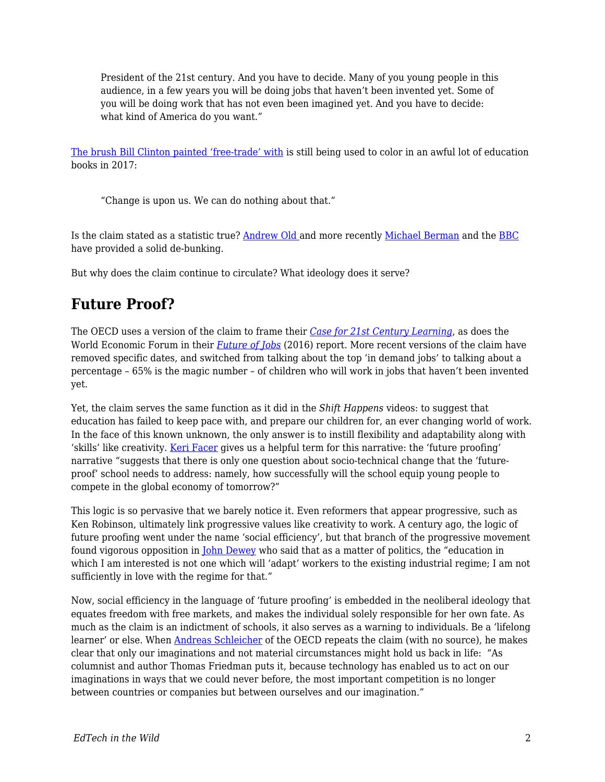President of the 21st century. And you have to decide. Many of you young people in this audience, in a few years you will be doing jobs that haven't been invented yet. Some of you will be doing work that has not even been imagined yet. And you have to decide: what kind of America do you want."

[The brush Bill Clinton painted 'free-trade' with](http://www.salon.com/2016/03/14/bill_clintons_odious_presidency_thomas_frank_on_the_real_history_of_the_90s/) is still being used to color in an awful lot of education books in 2017:

"Change is upon us. We can do nothing about that."

Is the claim stated as a statistic true? [Andrew Old](https://teachingbattleground.wordpress.com/2015/05/27/a-myth-for-teachers-jobs-that-dont-exist-yet/) and more recently [Michael Berman](http://edtechcurmudgeon.blogspot.be/2017/07/the-undead-factoid-who-decided-65-of.html) and the [BBC](http://www.bbc.co.uk/programmes/p053ln9f) have provided a solid de-bunking.

But why does the claim continue to circulate? What ideology does it serve?

# **Future Proof?**

The OECD uses a version of the claim to frame their *[Case for 21st Century Learning](http://www.oecd.org/general/thecasefor21st-centurylearning.htm)*, as does the World Economic Forum in their *[Future of Jobs](http://www3.weforum.org/docs/WEF_Future_of_Jobs.pdf)* (2016) report. More recent versions of the claim have removed specific dates, and switched from talking about the top 'in demand jobs' to talking about a percentage – 65% is the magic number – of children who will work in jobs that haven't been invented yet.

Yet, the claim serves the same function as it did in the *Shift Happens* videos: to suggest that education has failed to keep pace with, and prepare our children for, an ever changing world of work. In the face of this known unknown, the only answer is to instill flexibility and adaptability along with 'skills' like creativity. [Keri Facer](https://www.amazon.com/Learning-Futures-Education-Technology-Social/dp/0415581435) gives us a helpful term for this narrative: the 'future proofing' narrative "suggests that there is only one question about socio-technical change that the 'futureproof' school needs to address: namely, how successfully will the school equip young people to compete in the global economy of tomorrow?"

This logic is so pervasive that we barely notice it. Even reformers that appear progressive, such as Ken Robinson, ultimately link progressive values like creativity to work. A century ago, the logic of future proofing went under the name 'social efficiency', but that branch of the progressive movement found vigorous opposition in [John Dewey](https://www.longviewoneducation.org/are-we-robbing-students-of-tomorrow/) who said that as a matter of politics, the "education in which I am interested is not one which will 'adapt' workers to the existing industrial regime; I am not sufficiently in love with the regime for that."

Now, social efficiency in the language of 'future proofing' is embedded in the neoliberal ideology that equates freedom with free markets, and makes the individual solely responsible for her own fate. As much as the claim is an indictment of schools, it also serves as a warning to individuals. Be a 'lifelong learner' or else. When [Andreas Schleicher](https://web.archive.org/web/20170310035052/http://www.oecd.org/general/thecasefor21st-centurylearning.htm) of the OECD repeats the claim (with no source), he makes clear that only our imaginations and not material circumstances might hold us back in life: "As columnist and author Thomas Friedman puts it, because technology has enabled us to act on our imaginations in ways that we could never before, the most important competition is no longer between countries or companies but between ourselves and our imagination."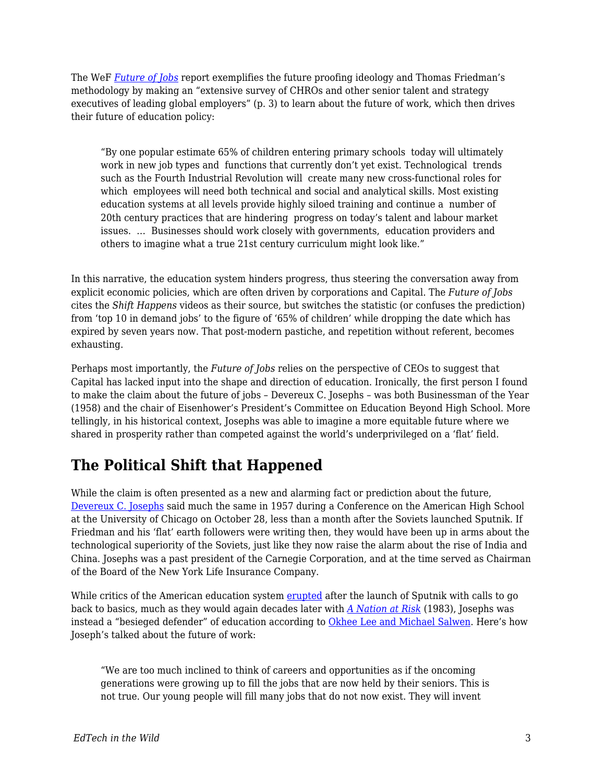The WeF *[Future of Jobs](http://www3.weforum.org/docs/WEF_Future_of_Jobs.pdf)* report exemplifies the future proofing ideology and Thomas Friedman's methodology by making an "extensive survey of CHROs and other senior talent and strategy executives of leading global employers" (p. 3) to learn about the future of work, which then drives their future of education policy:

"By one popular estimate 65% of children entering primary schools today will ultimately work in new job types and functions that currently don't yet exist. Technological trends such as the Fourth Industrial Revolution will create many new cross-functional roles for which employees will need both technical and social and analytical skills. Most existing education systems at all levels provide highly siloed training and continue a number of 20th century practices that are hindering progress on today's talent and labour market issues. … Businesses should work closely with governments, education providers and others to imagine what a true 21st century curriculum might look like."

In this narrative, the education system hinders progress, thus steering the conversation away from explicit economic policies, which are often driven by corporations and Capital. The *Future of Jobs* cites the *Shift Happens* videos as their source, but switches the statistic (or confuses the prediction) from 'top 10 in demand jobs' to the figure of '65% of children' while dropping the date which has expired by seven years now. That post-modern pastiche, and repetition without referent, becomes exhausting.

Perhaps most importantly, the *Future of Jobs* relies on the perspective of CEOs to suggest that Capital has lacked input into the shape and direction of education. Ironically, the first person I found to make the claim about the future of jobs – Devereux C. Josephs – was both Businessman of the Year (1958) and the chair of Eisenhower's President's Committee on Education Beyond High School. More tellingly, in his historical context, Josephs was able to imagine a more equitable future where we shared in prosperity rather than competed against the world's underprivileged on a 'flat' field.

# **The Political Shift that Happened**

While the claim is often presented as a new and alarming fact or prediction about the future, [Devereux C. Josephs](https://www.jstor.org/stable/1083361?seq=1#page_scan_tab_contents) said much the same in 1957 during a Conference on the American High School at the University of Chicago on October 28, less than a month after the Soviets launched Sputnik. If Friedman and his 'flat' earth followers were writing then, they would have been up in arms about the technological superiority of the Soviets, just like they now raise the alarm about the rise of India and China. Josephs was a past president of the Carnegie Corporation, and at the time served as Chairman of the Board of the New York Life Insurance Company.

While critics of the American education system [erupted](https://www.amazon.com/Education-Cold-War-Battle-American/dp/0230338976) after the launch of Sputnik with calls to go back to basics, much as they would again decades later with *[A Nation at Risk](https://en.wikipedia.org/wiki/A_Nation_at_Risk)* (1983), Josephs was instead a "besieged defender" of education according to [Okhee Lee and Michael Salwen.](https://books.google.be/books?id=6BXvwR0X5eUC&pg=PA131&dq=Okhee+Lee+and+Michael+Salwen&hl=en&sa=X&redir_esc=y#v=onepage&q=Okhee%20Lee%20and%20Michael%20Salwen&f=false) Here's how Joseph's talked about the future of work:

"We are too much inclined to think of careers and opportunities as if the oncoming generations were growing up to fill the jobs that are now held by their seniors. This is not true. Our young people will fill many jobs that do not now exist. They will invent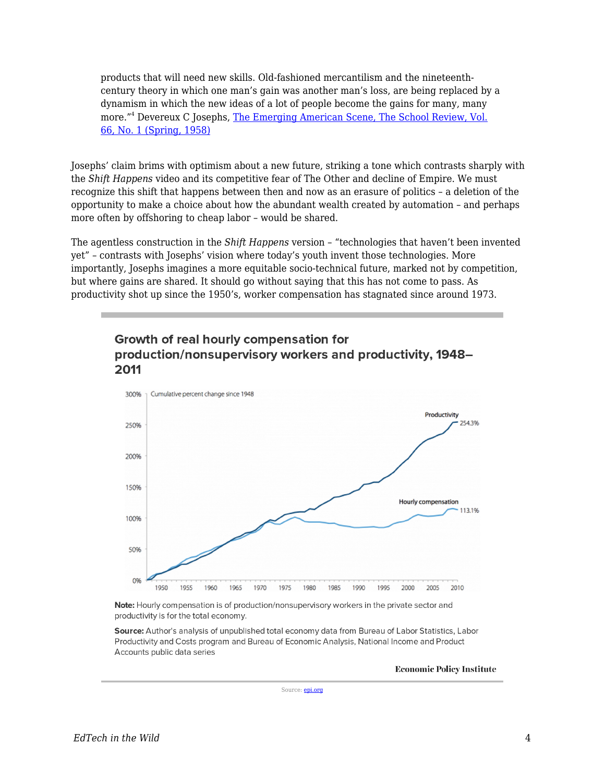products that will need new skills. Old-fashioned mercantilism and the nineteenthcentury theory in which one man's gain was another man's loss, are being replaced by a dynamism in which the new ideas of a lot of people become the gains for many, many more."<sup>4</sup> Devereux C Josephs, <u>[The Emerging American Scene, The School Review, Vol.](https://www.jstor.org/stable/1083361?seq=1#page_scan_tab_contents)</u> [66, No. 1 \(Spring, 1958\)](https://www.jstor.org/stable/1083361?seq=1#page_scan_tab_contents)

Josephs' claim brims with optimism about a new future, striking a tone which contrasts sharply with the *Shift Happens* video and its competitive fear of The Other and decline of Empire. We must recognize this shift that happens between then and now as an erasure of politics – a deletion of the opportunity to make a choice about how the abundant wealth created by automation – and perhaps more often by offshoring to cheap labor – would be shared.

The agentless construction in the *Shift Happens* version – "technologies that haven't been invented yet" – contrasts with Josephs' vision where today's youth invent those technologies. More importantly, Josephs imagines a more equitable socio-technical future, marked not by competition, but where gains are shared. It should go without saying that this has not come to pass. As productivity shot up since the 1950's, worker compensation has stagnated since around 1973.



### Growth of real hourly compensation for production/nonsupervisory workers and productivity, 1948-2011

Note: Hourly compensation is of production/nonsupervisory workers in the private sector and productivity is for the total economy.

Source: Author's analysis of unpublished total economy data from Bureau of Labor Statistics, Labor Productivity and Costs program and Bureau of Economic Analysis, National Income and Product Accounts public data series

**Economic Policy Institute** 

Source: [epi.org](https://www.epi.org/publication/ib330-productivity-vs-compensation/)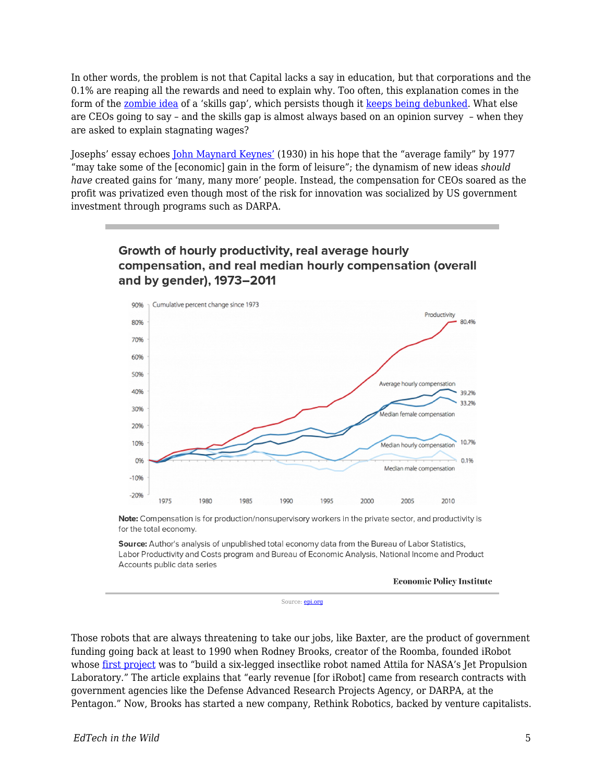In other words, the problem is not that Capital lacks a say in education, but that corporations and the 0.1% are reaping all the rewards and need to explain why. Too often, this explanation comes in the form of the [zombie idea](https://www.nytimes.com/2014/03/31/opinion/krugman-jobs-and-skills-and-zombies.html) of a 'skills gap', which persists though it [keeps being debunked](http://uk.businessinsider.com/no-skills-gap-in-labor-market-as-wages-staganant-2017-6?r=US&IR=T). What else are CEOs going to say – and the skills gap is almost always based on an opinion survey – when they are asked to explain stagnating wages?

Josephs' essay echoes [John Maynard Keynes'](http://www.epi.org/publication/ib330-productivity-vs-compensation/) (1930) in his hope that the "average family" by 1977 "may take some of the [economic] gain in the form of leisure"; the dynamism of new ideas *should have* created gains for 'many, many more' people. Instead, the compensation for CEOs soared as the profit was privatized even though most of the risk for innovation was socialized by US government investment through programs such as DARPA.

### Growth of hourly productivity, real average hourly compensation, and real median hourly compensation (overall and by gender), 1973-2011



Note: Compensation is for production/nonsupervisory workers in the private sector, and productivity is for the total economy.

Source: Author's analysis of unpublished total economy data from the Bureau of Labor Statistics, Labor Productivity and Costs program and Bureau of Economic Analysis, National Income and Product Accounts public data series

**Economic Policy Institute** 

Source: [epi.org](https://www.epi.org/publication/ib330-productivity-vs-compensation/)

Those robots that are always threatening to take our jobs, like Baxter, are the product of government funding going back at least to 1990 when Rodney Brooks, creator of the Roomba, founded iRobot whose [first project](http://www.nytimes.com/2002/12/26/technology/making-robots-with-dreams-of-henry-ford.html?pagewanted=all) was to "build a six-legged insectlike robot named Attila for NASA's Jet Propulsion Laboratory." The article explains that "early revenue [for iRobot] came from research contracts with government agencies like the Defense Advanced Research Projects Agency, or DARPA, at the Pentagon." Now, Brooks has started a new company, Rethink Robotics, backed by venture capitalists.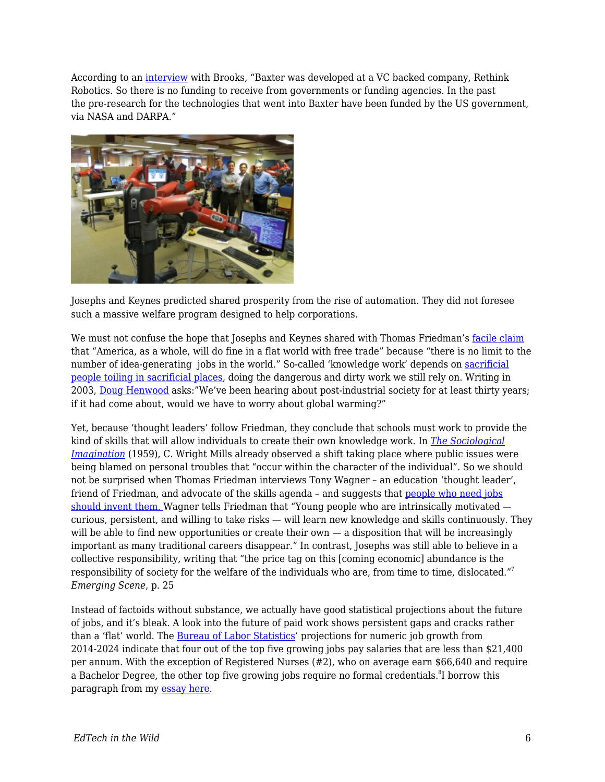According to an [interview](https://www.parlio.com/qa/rodney-brooks) with Brooks, "Baxter was developed at a VC backed company, Rethink Robotics. So there is no funding to receive from governments or funding agencies. In the past the pre-research for the technologies that went into Baxter have been funded by the US government, via NASA and DARPA."



Josephs and Keynes predicted shared prosperity from the rise of automation. They did not foresee such a massive welfare program designed to help corporations.

We must not confuse the hope that Josephs and Keynes shared with Thomas Friedman's [facile claim](https://books.google.be/books?id=oSsIfoDQHhgC&pg=PA269&lpg=PA269&dq=America,+as+a+whole,+will+do+fine+in+a+flat+world+with+free+trade&source=bl&ots=Ba64Qd9mTy&sig=b9T49M7KyKlZ6nWu3wKL79vrGE4&hl=en&sa=X&ved=0ahUKEwjo-KLQyfnUAhUQmbQKHbVtDbAQ6AEILzAC#v=onepage&q=America%2C%20as%20a%20whole%2C%20will%20do%20fine%20in%20a%20flat%20world%20with%20free%20trade&f=false) that "America, as a whole, will do fine in a flat world with free trade" because "there is no limit to the number of idea-generating jobs in the world." So-called 'knowledge work' depends on [sacrificial](https://www.lrb.co.uk/v38/n11/naomi-klein/let-them-drown) [people toiling in sacrificial places](https://www.lrb.co.uk/v38/n11/naomi-klein/let-them-drown), doing the dangerous and dirty work we still rely on. Writing in 2003, [Doug Henwood](http://thenewpress.com/books/after-new-economy) asks:"We've been hearing about post-industrial society for at least thirty years; if it had come about, would we have to worry about global warming?"

Yet, because 'thought leaders' follow Friedman, they conclude that schools must work to provide the kind of skills that will allow individuals to create their own knowledge work. In *[The Sociological](http://sites.middlebury.edu/utopias/files/2013/02/The-Promise.pdf) [Imagination](http://sites.middlebury.edu/utopias/files/2013/02/The-Promise.pdf)* (1959), C. Wright Mills already observed a shift taking place where public issues were being blamed on personal troubles that "occur within the character of the individual". So we should not be surprised when Thomas Friedman interviews Tony Wagner – an education 'thought leader', friend of Friedman, and advocate of the skills agenda - and suggests that [people who need jobs](http://www.nytimes.com/2013/03/31/opinion/sunday/friedman-need-a-job-invent-it.html) [should invent them.](http://www.nytimes.com/2013/03/31/opinion/sunday/friedman-need-a-job-invent-it.html) Wagner tells Friedman that "Young people who are intrinsically motivated curious, persistent, and willing to take risks — will learn new knowledge and skills continuously. They will be able to find new opportunities or create their own — a disposition that will be increasingly important as many traditional careers disappear." In contrast, Josephs was still able to believe in a collective responsibility, writing that "the price tag on this [coming economic] abundance is the responsibility of society for the welfare of the individuals who are, from time to time, dislocated."<sup>7</sup> *Emerging Scene*, p. 25

Instead of factoids without substance, we actually have good statistical projections about the future of jobs, and it's bleak. A look into the future of paid work shows persistent gaps and cracks rather than a 'flat' world. The **Bureau of Labor Statistics'** projections for numeric job growth from 2014-2024 indicate that four out of the top five growing jobs pay salaries that are less than \$21,400 per annum. With the exception of Registered Nurses (#2), who on average earn \$66,640 and require a Bachelor Degree, the other top five growing jobs require no formal credentials. ${}^{8}$ I borrow this paragraph from my [essay here](https://www.longviewoneducation.org/maybe-not-afraid-edtechs-inability-imagine-future/).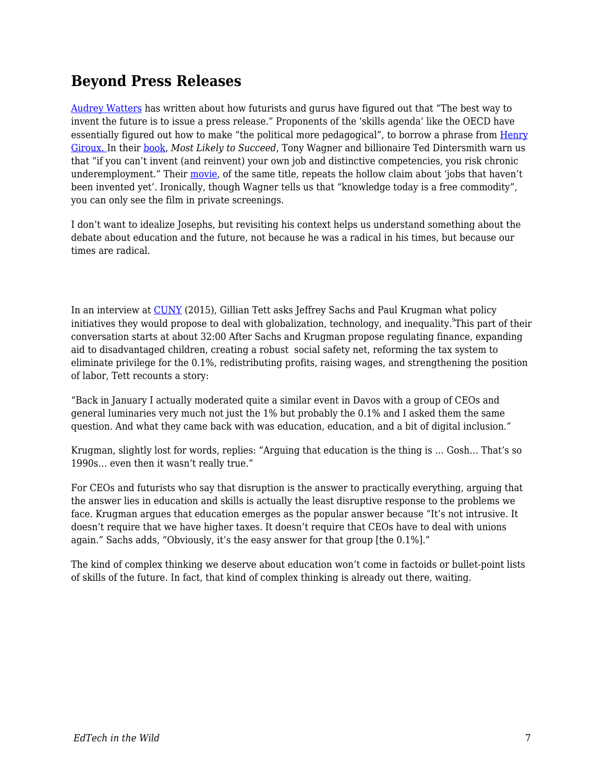## **Beyond Press Releases**

[Audrey Watters](http://hackeducation.com/2016/11/02/futures) has written about how futurists and gurus have figured out that "The best way to invent the future is to issue a press release." Proponents of the 'skills agenda' like the OECD have essentially figured out how to make "the political more pedagogical", to borrow a phrase from [Henry](http://www.public.iastate.edu/~drrussel/www548/giroux-respofintells.pdf) [Giroux.](http://www.public.iastate.edu/~drrussel/www548/giroux-respofintells.pdf) In their [book](https://www.amazon.ca/Most-Likely-Succeed-Preparing-Innovation/dp/1501104322), *Most Likely to Succeed*, Tony Wagner and billionaire Ted Dintersmith warn us that "if you can't invent (and reinvent) your own job and distinctive competencies, you risk chronic underemployment." Their [movie,](http://www.mltsfilm.org/) of the same title, repeats the hollow claim about 'jobs that haven't been invented yet'. Ironically, though Wagner tells us that "knowledge today is a free commodity", you can only see the film in private screenings.

I don't want to idealize Josephs, but revisiting his context helps us understand something about the debate about education and the future, not because he was a radical in his times, but because our times are radical.

In an interview at [CUNY](https://www.youtube.com/watch?v=K_GtNgUxIJQ) (2015), Gillian Tett asks Jeffrey Sachs and Paul Krugman what policy initiatives they would propose to deal with globalization, technology, and inequality. $^9$ This part of their conversation starts at about 32:00 After Sachs and Krugman propose regulating finance, expanding aid to disadvantaged children, creating a robust social safety net, reforming the tax system to eliminate privilege for the 0.1%, redistributing profits, raising wages, and strengthening the position of labor, Tett recounts a story:

"Back in January I actually moderated quite a similar event in Davos with a group of CEOs and general luminaries very much not just the 1% but probably the 0.1% and I asked them the same question. And what they came back with was education, education, and a bit of digital inclusion."

Krugman, slightly lost for words, replies: "Arguing that education is the thing is … Gosh… That's so 1990s… even then it wasn't really true."

For CEOs and futurists who say that disruption is the answer to practically everything, arguing that the answer lies in education and skills is actually the least disruptive response to the problems we face. Krugman argues that education emerges as the popular answer because "It's not intrusive. It doesn't require that we have higher taxes. It doesn't require that CEOs have to deal with unions again." Sachs adds, "Obviously, it's the easy answer for that group [the 0.1%]."

The kind of complex thinking we deserve about education won't come in factoids or bullet-point lists of skills of the future. In fact, that kind of complex thinking is already out there, waiting.